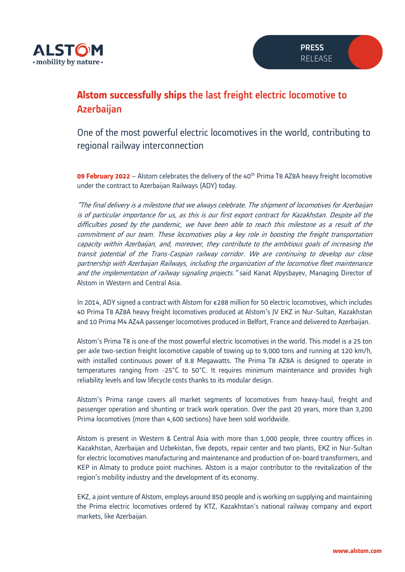

## **Alstom successfully ships** the last freight electric locomotive to Azerbaijan

One of the most powerful electric locomotives in the world, contributing to regional railway interconnection

**09 February 2022** – Alstom celebrates the delivery of the 40<sup>th</sup> Prima T8 AZ8A heavy freight locomotive under the contract to Azerbaijan Railways (ADY) today.

"The final delivery is a milestone that we always celebrate. The shipment of locomotives for Azerbaijan is of particular importance for us, as this is our first export contract for Kazakhstan. Despite all the difficulties posed by the pandemic, we have been able to reach this milestone as a result of the commitment of our team. These locomotives play a key role in boosting the freight transportation capacity within Azerbaijan, and, moreover, they contribute to the ambitious goals of increasing the transit potential of the Trans-Caspian railway corridor. We are continuing to develop our close partnership with Azerbaijan Railways, including the organization of the locomotive fleet maintenance and the implementation of railway signaling projects." said Kanat Alpysbayev, Managing Director of Alstom in Western and Central Asia.

In 2014, ADY signed a contract with Alstom for €288 million for 50 electric locomotives, which includes 40 Prima T8 AZ8A heavy freight locomotives produced at Alstom's JV EKZ in Nur-Sultan, Kazakhstan and 10 Prima M4 AZ4A passenger locomotives produced in Belfort, France and delivered to Azerbaijan.

Alstom's Prima T8 is one of the most powerful electric locomotives in the world. This model is a 25 ton per axle two-section freight locomotive capable of towing up to 9,000 tons and running at 120 km/h, with installed continuous power of 8.8 Megawatts. The Prima T8 AZ8A is designed to operate in temperatures ranging from -25°C to 50°C. It requires minimum maintenance and provides high reliability levels and low lifecycle costs thanks to its modular design.

Alstom's Prima range covers all market segments of locomotives from heavy-haul, freight and passenger operation and shunting or track work operation. Over the past 20 years, more than 3,200 Prima locomotives (more than 4,600 sections) have been sold worldwide.

Alstom is present in Western & Central Asia with more than 1,000 people, three country offices in Kazakhstan, Azerbaijan and Uzbekistan, five depots, repair center and two plants, EKZ in Nur-Sultan for electric locomotives manufacturing and maintenance and production of on-board transformers, and KEP in Almaty to produce point machines. Alstom is a major contributor to the revitalization of the region's mobility industry and the development of its economy.

EKZ, a joint venture of Alstom, employs around 850 people and is working on supplying and maintaining the Prima electric locomotives ordered by KTZ, Kazakhstan's national railway company and export markets, like Azerbaijan.